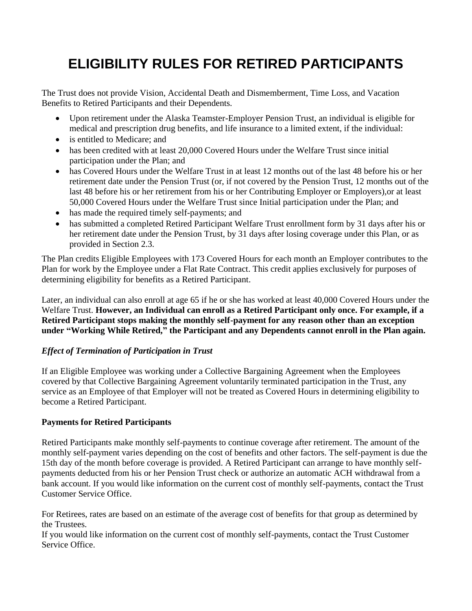# **ELIGIBILITY RULES FOR RETIRED PARTICIPANTS**

The Trust does not provide Vision, Accidental Death and Dismemberment, Time Loss, and Vacation Benefits to Retired Participants and their Dependents.

- Upon retirement under the Alaska Teamster-Employer Pension Trust, an individual is eligible for medical and prescription drug benefits, and life insurance to a limited extent, if the individual:
- is entitled to Medicare; and
- has been credited with at least 20,000 Covered Hours under the Welfare Trust since initial participation under the Plan; and
- has Covered Hours under the Welfare Trust in at least 12 months out of the last 48 before his or her retirement date under the Pension Trust (or, if not covered by the Pension Trust, 12 months out of the last 48 before his or her retirement from his or her Contributing Employer or Employers),or at least 50,000 Covered Hours under the Welfare Trust since Initial participation under the Plan; and
- has made the required timely self-payments; and
- has submitted a completed Retired Participant Welfare Trust enrollment form by 31 days after his or her retirement date under the Pension Trust, by 31 days after losing coverage under this Plan, or as provided in Section 2.3.

The Plan credits Eligible Employees with 173 Covered Hours for each month an Employer contributes to the Plan for work by the Employee under a Flat Rate Contract. This credit applies exclusively for purposes of determining eligibility for benefits as a Retired Participant.

Later, an individual can also enroll at age 65 if he or she has worked at least 40,000 Covered Hours under the Welfare Trust. **However, an Individual can enroll as a Retired Participant only once. For example, if a Retired Participant stops making the monthly self-payment for any reason other than an exception under "Working While Retired," the Participant and any Dependents cannot enroll in the Plan again.**

# *Effect of Termination of Participation in Trust*

If an Eligible Employee was working under a Collective Bargaining Agreement when the Employees covered by that Collective Bargaining Agreement voluntarily terminated participation in the Trust, any service as an Employee of that Employer will not be treated as Covered Hours in determining eligibility to become a Retired Participant.

# **Payments for Retired Participants**

Retired Participants make monthly self-payments to continue coverage after retirement. The amount of the monthly self-payment varies depending on the cost of benefits and other factors. The self-payment is due the 15th day of the month before coverage is provided. A Retired Participant can arrange to have monthly selfpayments deducted from his or her Pension Trust check or authorize an automatic ACH withdrawal from a bank account. If you would like information on the current cost of monthly self-payments, contact the Trust Customer Service Office.

For Retirees, rates are based on an estimate of the average cost of benefits for that group as determined by the Trustees.

If you would like information on the current cost of monthly self-payments, contact the Trust Customer Service Office.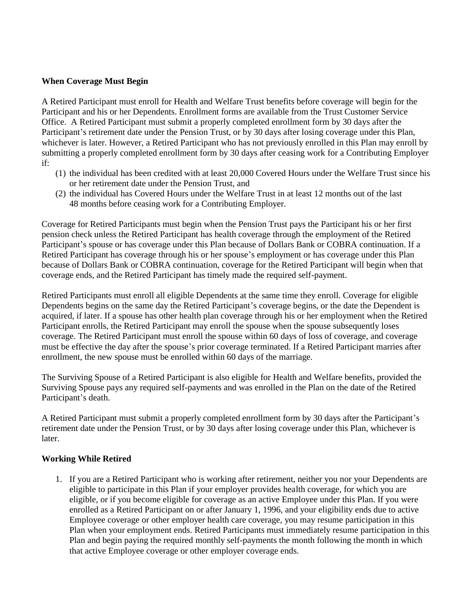#### **When Coverage Must Begin**

A Retired Participant must enroll for Health and Welfare Trust benefits before coverage will begin for the Participant and his or her Dependents. Enrollment forms are available from the Trust Customer Service Office. A Retired Participant must submit a properly completed enrollment form by 30 days after the Participant's retirement date under the Pension Trust, or by 30 days after losing coverage under this Plan, whichever is later. However, a Retired Participant who has not previously enrolled in this Plan may enroll by submitting a properly completed enrollment form by 30 days after ceasing work for a Contributing Employer if:

- (1) the individual has been credited with at least 20,000 Covered Hours under the Welfare Trust since his or her retirement date under the Pension Trust, and
- (2) the individual has Covered Hours under the Welfare Trust in at least 12 months out of the last 48 months before ceasing work for a Contributing Employer.

Coverage for Retired Participants must begin when the Pension Trust pays the Participant his or her first pension check unless the Retired Participant has health coverage through the employment of the Retired Participant's spouse or has coverage under this Plan because of Dollars Bank or COBRA continuation. If a Retired Participant has coverage through his or her spouse's employment or has coverage under this Plan because of Dollars Bank or COBRA continuation, coverage for the Retired Participant will begin when that coverage ends, and the Retired Participant has timely made the required self-payment.

Retired Participants must enroll all eligible Dependents at the same time they enroll. Coverage for eligible Dependents begins on the same day the Retired Participant's coverage begins, or the date the Dependent is acquired, if later. If a spouse has other health plan coverage through his or her employment when the Retired Participant enrolls, the Retired Participant may enroll the spouse when the spouse subsequently loses coverage. The Retired Participant must enroll the spouse within 60 days of loss of coverage, and coverage must be effective the day after the spouse's prior coverage terminated. If a Retired Participant marries after enrollment, the new spouse must be enrolled within 60 days of the marriage.

The Surviving Spouse of a Retired Participant is also eligible for Health and Welfare benefits, provided the Surviving Spouse pays any required self-payments and was enrolled in the Plan on the date of the Retired Participant's death.

A Retired Participant must submit a properly completed enrollment form by 30 days after the Participant's retirement date under the Pension Trust, or by 30 days after losing coverage under this Plan, whichever is later.

#### **Working While Retired**

1. If you are a Retired Participant who is working after retirement, neither you nor your Dependents are eligible to participate in this Plan if your employer provides health coverage, for which you are eligible, or if you become eligible for coverage as an active Employee under this Plan. If you were enrolled as a Retired Participant on or after January 1, 1996, and your eligibility ends due to active Employee coverage or other employer health care coverage, you may resume participation in this Plan when your employment ends. Retired Participants must immediately resume participation in this Plan and begin paying the required monthly self-payments the month following the month in which that active Employee coverage or other employer coverage ends.